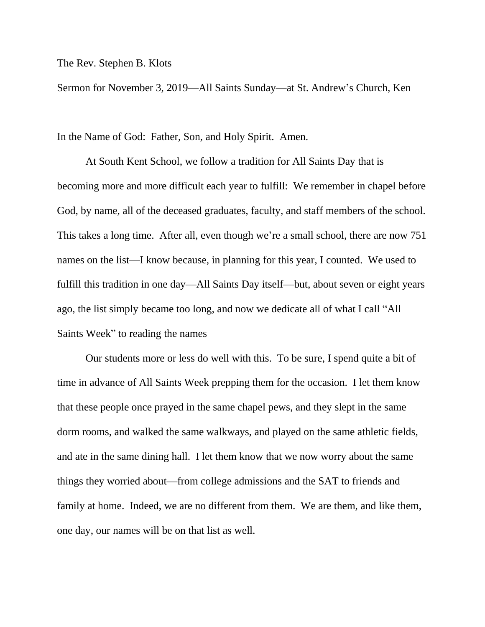The Rev. Stephen B. Klots

Sermon for November 3, 2019—All Saints Sunday—at St. Andrew's Church, Ken

In the Name of God: Father, Son, and Holy Spirit. Amen.

At South Kent School, we follow a tradition for All Saints Day that is becoming more and more difficult each year to fulfill: We remember in chapel before God, by name, all of the deceased graduates, faculty, and staff members of the school. This takes a long time. After all, even though we're a small school, there are now 751 names on the list—I know because, in planning for this year, I counted. We used to fulfill this tradition in one day—All Saints Day itself—but, about seven or eight years ago, the list simply became too long, and now we dedicate all of what I call "All Saints Week" to reading the names

Our students more or less do well with this. To be sure, I spend quite a bit of time in advance of All Saints Week prepping them for the occasion. I let them know that these people once prayed in the same chapel pews, and they slept in the same dorm rooms, and walked the same walkways, and played on the same athletic fields, and ate in the same dining hall. I let them know that we now worry about the same things they worried about—from college admissions and the SAT to friends and family at home. Indeed, we are no different from them. We are them, and like them, one day, our names will be on that list as well.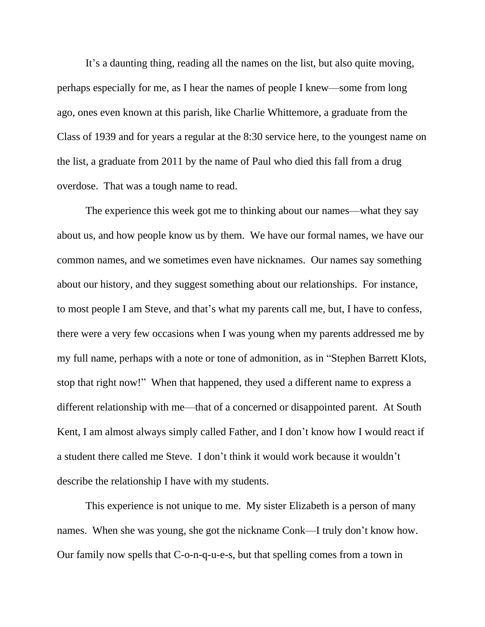It's a daunting thing, reading all the names on the list, but also quite moving, perhaps especially for me, as I hear the names of people I knew—some from long ago, ones even known at this parish, like Charlie Whittemore, a graduate from the Class of 1939 and for years a regular at the 8:30 service here, to the youngest name on the list, a graduate from 2011 by the name of Paul who died this fall from a drug overdose. That was a tough name to read.

The experience this week got me to thinking about our names—what they say about us, and how people know us by them. We have our formal names, we have our common names, and we sometimes even have nicknames. Our names say something about our history, and they suggest something about our relationships. For instance, to most people I am Steve, and that's what my parents call me, but, I have to confess, there were a very few occasions when I was young when my parents addressed me by my full name, perhaps with a note or tone of admonition, as in "Stephen Barrett Klots, stop that right now!" When that happened, they used a different name to express a different relationship with me—that of a concerned or disappointed parent. At South Kent, I am almost always simply called Father, and I don't know how I would react if a student there called me Steve. I don't think it would work because it wouldn't describe the relationship I have with my students.

This experience is not unique to me. My sister Elizabeth is a person of many names. When she was young, she got the nickname Conk—I truly don't know how. Our family now spells that C-o-n-q-u-e-s, but that spelling comes from a town in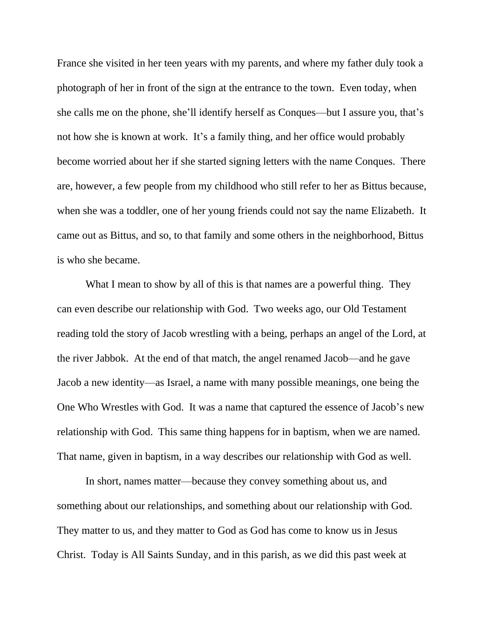France she visited in her teen years with my parents, and where my father duly took a photograph of her in front of the sign at the entrance to the town. Even today, when she calls me on the phone, she'll identify herself as Conques—but I assure you, that's not how she is known at work. It's a family thing, and her office would probably become worried about her if she started signing letters with the name Conques. There are, however, a few people from my childhood who still refer to her as Bittus because, when she was a toddler, one of her young friends could not say the name Elizabeth. It came out as Bittus, and so, to that family and some others in the neighborhood, Bittus is who she became.

What I mean to show by all of this is that names are a powerful thing. They can even describe our relationship with God. Two weeks ago, our Old Testament reading told the story of Jacob wrestling with a being, perhaps an angel of the Lord, at the river Jabbok. At the end of that match, the angel renamed Jacob—and he gave Jacob a new identity—as Israel, a name with many possible meanings, one being the One Who Wrestles with God. It was a name that captured the essence of Jacob's new relationship with God. This same thing happens for in baptism, when we are named. That name, given in baptism, in a way describes our relationship with God as well.

In short, names matter—because they convey something about us, and something about our relationships, and something about our relationship with God. They matter to us, and they matter to God as God has come to know us in Jesus Christ. Today is All Saints Sunday, and in this parish, as we did this past week at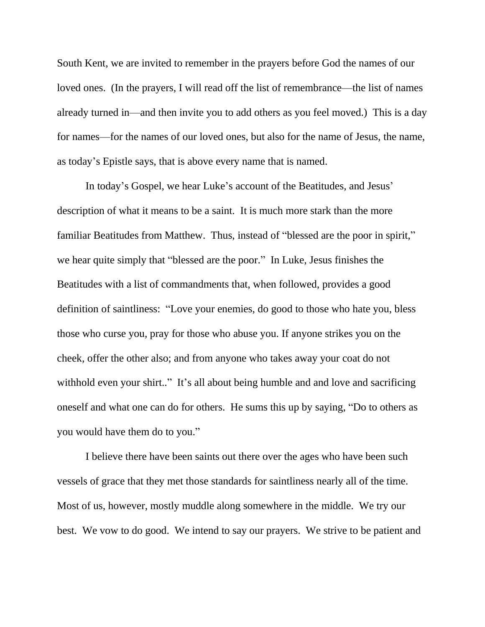South Kent, we are invited to remember in the prayers before God the names of our loved ones. (In the prayers, I will read off the list of remembrance—the list of names already turned in—and then invite you to add others as you feel moved.) This is a day for names—for the names of our loved ones, but also for the name of Jesus, the name, as today's Epistle says, that is above every name that is named.

In today's Gospel, we hear Luke's account of the Beatitudes, and Jesus' description of what it means to be a saint. It is much more stark than the more familiar Beatitudes from Matthew. Thus, instead of "blessed are the poor in spirit," we hear quite simply that "blessed are the poor." In Luke, Jesus finishes the Beatitudes with a list of commandments that, when followed, provides a good definition of saintliness: "Love your enemies, do good to those who hate you, bless those who curse you, pray for those who abuse you. If anyone strikes you on the cheek, offer the other also; and from anyone who takes away your coat do not withhold even your shirt.." It's all about being humble and and love and sacrificing oneself and what one can do for others. He sums this up by saying, "Do to others as you would have them do to you."

I believe there have been saints out there over the ages who have been such vessels of grace that they met those standards for saintliness nearly all of the time. Most of us, however, mostly muddle along somewhere in the middle. We try our best. We vow to do good. We intend to say our prayers. We strive to be patient and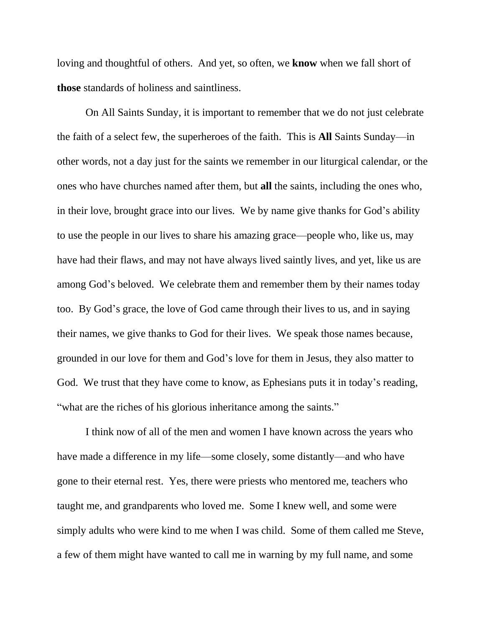loving and thoughtful of others. And yet, so often, we **know** when we fall short of **those** standards of holiness and saintliness.

On All Saints Sunday, it is important to remember that we do not just celebrate the faith of a select few, the superheroes of the faith. This is **All** Saints Sunday—in other words, not a day just for the saints we remember in our liturgical calendar, or the ones who have churches named after them, but **all** the saints, including the ones who, in their love, brought grace into our lives. We by name give thanks for God's ability to use the people in our lives to share his amazing grace—people who, like us, may have had their flaws, and may not have always lived saintly lives, and yet, like us are among God's beloved. We celebrate them and remember them by their names today too. By God's grace, the love of God came through their lives to us, and in saying their names, we give thanks to God for their lives. We speak those names because, grounded in our love for them and God's love for them in Jesus, they also matter to God. We trust that they have come to know, as Ephesians puts it in today's reading, "what are the riches of his glorious inheritance among the saints."

I think now of all of the men and women I have known across the years who have made a difference in my life—some closely, some distantly—and who have gone to their eternal rest. Yes, there were priests who mentored me, teachers who taught me, and grandparents who loved me. Some I knew well, and some were simply adults who were kind to me when I was child. Some of them called me Steve, a few of them might have wanted to call me in warning by my full name, and some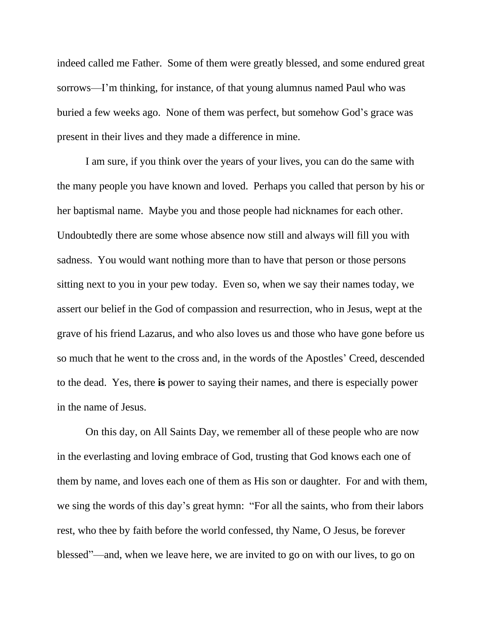indeed called me Father. Some of them were greatly blessed, and some endured great sorrows—I'm thinking, for instance, of that young alumnus named Paul who was buried a few weeks ago. None of them was perfect, but somehow God's grace was present in their lives and they made a difference in mine.

I am sure, if you think over the years of your lives, you can do the same with the many people you have known and loved. Perhaps you called that person by his or her baptismal name. Maybe you and those people had nicknames for each other. Undoubtedly there are some whose absence now still and always will fill you with sadness. You would want nothing more than to have that person or those persons sitting next to you in your pew today. Even so, when we say their names today, we assert our belief in the God of compassion and resurrection, who in Jesus, wept at the grave of his friend Lazarus, and who also loves us and those who have gone before us so much that he went to the cross and, in the words of the Apostles' Creed, descended to the dead. Yes, there **is** power to saying their names, and there is especially power in the name of Jesus.

On this day, on All Saints Day, we remember all of these people who are now in the everlasting and loving embrace of God, trusting that God knows each one of them by name, and loves each one of them as His son or daughter. For and with them, we sing the words of this day's great hymn: "For all the saints, who from their labors rest, who thee by faith before the world confessed, thy Name, O Jesus, be forever blessed"—and, when we leave here, we are invited to go on with our lives, to go on